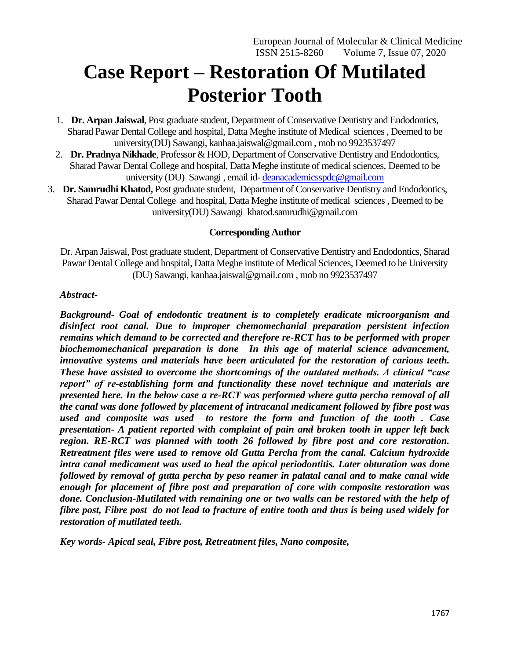# **Case Report – Restoration Of Mutilated Posterior Tooth**

- 1. **Dr. Arpan Jaiswal**, Post graduate student, Department of Conservative Dentistry and Endodontics, Sharad Pawar Dental College and hospital, Datta Meghe institute of Medical sciences , Deemed to be university(DU) Sawangi, kanhaa.jaiswal@gmail.com , mob no 9923537497
- 2. **Dr. Pradnya Nikhade**, Professor & HOD, Department of Conservative Dentistry and Endodontics, Sharad Pawar Dental College and hospital, Datta Meghe institute of medical sciences, Deemed to be university (DU) Sawangi , email id- [deanacademicsspdc@gmail.com](mailto:deanacademicsspdc@gmail.com)
- 3. **Dr. Samrudhi Khatod,** Post graduate student, Department of Conservative Dentistry and Endodontics, Sharad Pawar Dental College and hospital, Datta Meghe institute of medical sciences , Deemed to be university(DU) Sawangi khatod.samrudhi@gmail.com

## **Corresponding Author**

Dr. Arpan Jaiswal, Post graduate student, Department of Conservative Dentistry and Endodontics, Sharad Pawar Dental College and hospital, Datta Meghe institute of Medical Sciences, Deemed to be University (DU) Sawangi, kanhaa.jaiswal@gmail.com , mob no 9923537497

#### *Abstract-*

*Background- Goal of endodontic treatment is to completely eradicate microorganism and disinfect root canal. Due to improper chemomechanial preparation persistent infection remains which demand to be corrected and therefore re-RCT has to be performed with proper biochemomechanical preparation is done In this age of material science advancement, innovative systems and materials have been articulated for the restoration of carious teeth. These have assisted to overcome the shortcomings of the outdated methods. A clinical "case report" of re-establishing form and functionality these novel technique and materials are presented here. In the below case a re-RCT was performed where gutta percha removal of all the canal was done followed by placement of intracanal medicament followed by fibre post was used and composite was used to restore the form and function of the tooth . Case presentation- A patient reported with complaint of pain and broken tooth in upper left back region. RE-RCT was planned with tooth 26 followed by fibre post and core restoration. Retreatment files were used to remove old Gutta Percha from the canal. Calcium hydroxide intra canal medicament was used to heal the apical periodontitis. Later obturation was done followed by removal of gutta percha by peso reamer in palatal canal and to make canal wide enough for placement of fibre post and preparation of core with composite restoration was done. Conclusion-Mutilated with remaining one or two walls can be restored with the help of fibre post, Fibre post do not lead to fracture of entire tooth and thus is being used widely for restoration of mutilated teeth.*

*Key words- Apical seal, Fibre post, Retreatment files, Nano composite,*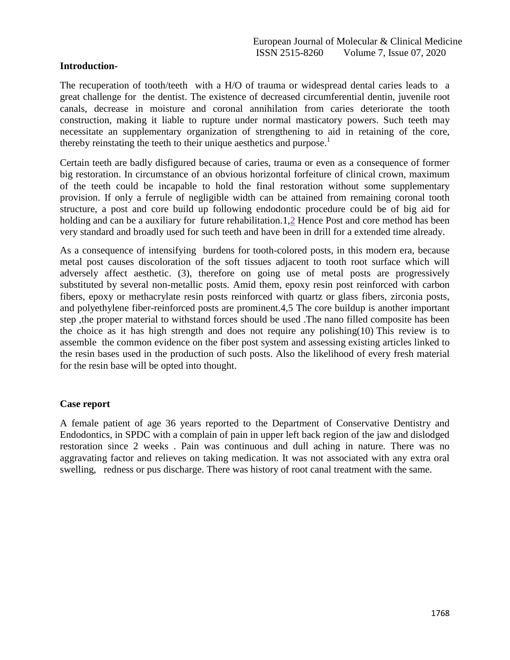#### **Introduction-**

The recuperation of tooth/teeth with a H/O of trauma or widespread dental caries leads to a great challenge for the dentist. The existence of decreased circumferential dentin, juvenile root canals, decrease in moisture and coronal annihilation from caries deteriorate the tooth construction, making it liable to rupture under normal masticatory powers. Such teeth may necessitate an supplementary organization of strengthening to aid in retaining of the core, thereby reinstating the teeth to their unique aesthetics and purpose.<sup>1</sup>

Certain teeth are badly disfigured because of caries, trauma or even as a consequence of former big restoration. In circumstance of an obvious horizontal forfeiture of clinical crown, maximum of the teeth could be incapable to hold the final restoration without some supplementary provision. If only a ferrule of negligible width can be attained from remaining coronal tooth structure, a post and core build up following endodontic procedure could be of big aid for holding and can be a auxiliary for future rehabilitation.1[,2](https://www.ncbi.nlm.nih.gov/pmc/articles/PMC3942529/#B2) Hence Post and core method has been very standard and broadly used for such teeth and have been in drill for a extended time already.

As a consequence of intensifying burdens for tooth-colored posts, in this modern era, because metal post causes discoloration of the soft tissues adjacent to tooth root surface which will adversely affect aesthetic. (3), therefore on going use of metal posts are progressively substituted by several non-metallic posts. Amid them, epoxy resin post reinforced with carbon fibers, epoxy or methacrylate resin posts reinforced with quartz or glass fibers, zirconia posts, and polyethylene fiber-reinforced posts are prominent.4,5 The core buildup is another important step ,the proper material to withstand forces should be used .The nano filled composite has been the choice as it has high strength and does not require any polishing(10) This review is to assemble the common evidence on the fiber post system and assessing existing articles linked to the resin bases used in the production of such posts. Also the likelihood of every fresh material for the resin base will be opted into thought.

## **Case report**

A female patient of age 36 years reported to the Department of Conservative Dentistry and Endodontics, in SPDC with a complain of pain in upper left back region of the jaw and dislodged restoration since 2 weeks . Pain was continuous and dull aching in nature. There was no aggravating factor and relieves on taking medication. It was not associated with any extra oral swelling, redness or pus discharge. There was history of root canal treatment with the same.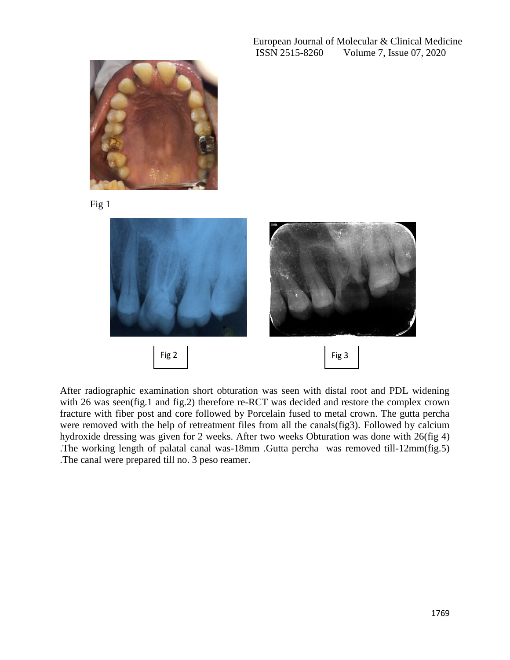European Journal of Molecular & Clinical Medicine ISSN 2515-8260 Volume 7, Issue 07, 2020



Fig 1



After radiographic examination short obturation was seen with distal root and PDL widening with 26 was seen(fig.1 and fig.2) therefore re-RCT was decided and restore the complex crown fracture with fiber post and core followed by Porcelain fused to metal crown. The gutta percha were removed with the help of retreatment files from all the canals(fig3). Followed by calcium hydroxide dressing was given for 2 weeks. After two weeks Obturation was done with 26(fig 4) .The working length of palatal canal was-18mm .Gutta percha was removed till-12mm(fig.5) .The canal were prepared till no. 3 peso reamer.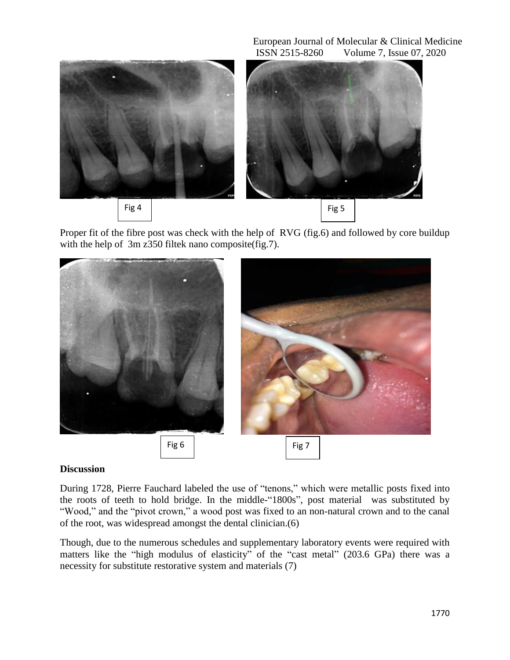European Journal of Molecular & Clinical Medicine ISSN 2515-8260 Volume 7, Issue 07, 2020



Proper fit of the fibre post was check with the help of RVG (fig.6) and followed by core buildup with the help of 3m z350 filtek nano composite (fig. 7).



## **Discussion**

During 1728, Pierre Fauchard labeled the use of "tenons," which were metallic posts fixed into the roots of teeth to hold bridge. In the middle-"1800s", post material was substituted by "Wood," and the "pivot crown," a wood post was fixed to an non-natural crown and to the canal of the root, was widespread amongst the dental clinician.(6)

Though, due to the numerous schedules and supplementary laboratory events were required with matters like the "high modulus of elasticity" of the "cast metal" (203.6 GPa) there was a necessity for substitute restorative system and materials (7)